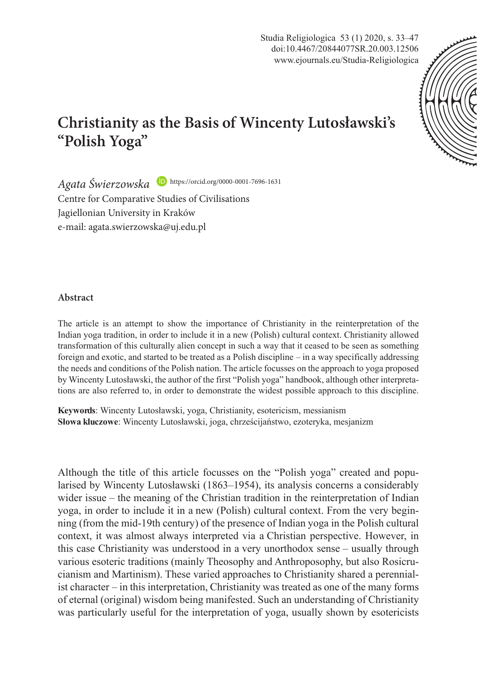Studia Religiologica 53 (1) 2020, s. 33–47 doi:10.4467/20844077SR.20.003.12506 www.ejournals.eu/Studia-Religiologica



## **Christianity as the Basis of Wincenty Lutosławski's "Polish Yoga"**

*Agata Świerzowska*  https://orcid.org/0000-0001-7696-1631 Centre for Comparative Studies of Civilisations Jagiellonian University in Kraków e-mail: agata.swierzowska@uj.edu.pl

## **Abstract**

The article is an attempt to show the importance of Christianity in the reinterpretation of the Indian yoga tradition, in order to include it in a new (Polish) cultural context. Christianity allowed transformation of this culturally alien concept in such a way that it ceased to be seen as something foreign and exotic, and started to be treated as a Polish discipline – in a way specifically addressing the needs and conditions of the Polish nation. The article focusses on the approach to yoga proposed by Wincenty Lutosławski, the author of the first "Polish yoga" handbook, although other interpretations are also referred to, in order to demonstrate the widest possible approach to this discipline.

**Keywords**: Wincenty Lutosławski, yoga, Christianity, esotericism, messianism **Słowa kluczowe**: Wincenty Lutosławski, joga, chrześcijaństwo, ezoteryka, mesjanizm

Although the title of this article focusses on the "Polish yoga" created and popularised by Wincenty Lutosławski (1863–1954), its analysis concerns a considerably wider issue – the meaning of the Christian tradition in the reinterpretation of Indian yoga, in order to include it in a new (Polish) cultural context. From the very beginning (from the mid-19th century) of the presence of Indian yoga in the Polish cultural context, it was almost always interpreted via a Christian perspective. However, in this case Christianity was understood in a very unorthodox sense – usually through various esoteric traditions (mainly Theosophy and Anthroposophy, but also Rosicrucianism and Martinism). These varied approaches to Christianity shared a perennialist character – in this interpretation, Christianity was treated as one of the many forms of eternal (original) wisdom being manifested. Such an understanding of Christianity was particularly useful for the interpretation of yoga, usually shown by esotericists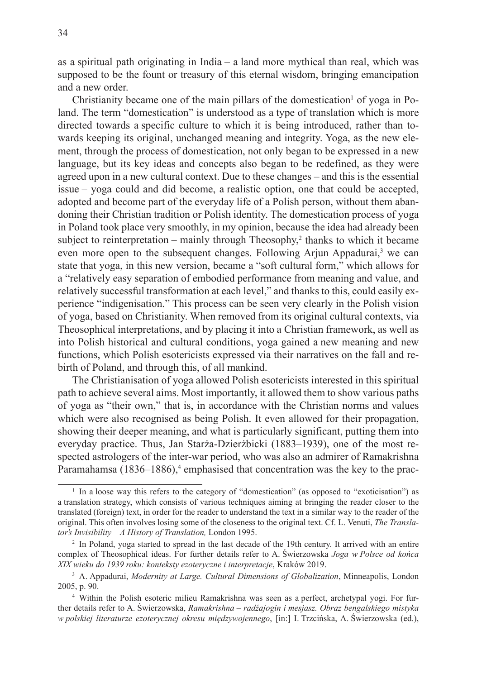as a spiritual path originating in India – a land more mythical than real, which was supposed to be the fount or treasury of this eternal wisdom, bringing emancipation and a new order.

Christianity became one of the main pillars of the domestication<sup>1</sup> of yoga in Poland. The term "domestication" is understood as a type of translation which is more directed towards a specific culture to which it is being introduced, rather than towards keeping its original, unchanged meaning and integrity. Yoga, as the new element, through the process of domestication, not only began to be expressed in a new language, but its key ideas and concepts also began to be redefined, as they were agreed upon in a new cultural context. Due to these changes – and this is the essential issue – yoga could and did become, a realistic option, one that could be accepted, adopted and become part of the everyday life of a Polish person, without them abandoning their Christian tradition or Polish identity. The domestication process of yoga in Poland took place very smoothly, in my opinion, because the idea had already been subject to reinterpretation – mainly through Theosophy,<sup>2</sup> thanks to which it became even more open to the subsequent changes. Following Arjun Appadurai,<sup>3</sup> we can state that yoga, in this new version, became a "soft cultural form," which allows for a "relatively easy separation of embodied performance from meaning and value, and relatively successful transformation at each level," and thanks to this, could easily experience "indigenisation." This process can be seen very clearly in the Polish vision of yoga, based on Christianity. When removed from its original cultural contexts, via Theosophical interpretations, and by placing it into a Christian framework, as well as into Polish historical and cultural conditions, yoga gained a new meaning and new functions, which Polish esotericists expressed via their narratives on the fall and rebirth of Poland, and through this, of all mankind.

The Christianisation of yoga allowed Polish esotericists interested in this spiritual path to achieve several aims. Most importantly, it allowed them to show various paths of yoga as "their own," that is, in accordance with the Christian norms and values which were also recognised as being Polish. It even allowed for their propagation, showing their deeper meaning, and what is particularly significant, putting them into everyday practice. Thus, Jan Starża-Dzierżbicki (1883–1939), one of the most respected astrologers of the inter-war period, who was also an admirer of Ramakrishna Paramahamsa (1836–1886),<sup>4</sup> emphasised that concentration was the key to the prac-

<sup>1</sup> In a loose way this refers to the category of "domestication" (as opposed to "exoticisation") as a translation strategy, which consists of various techniques aiming at bringing the reader closer to the translated (foreign) text, in order for the reader to understand the text in a similar way to the reader of the original. This often involves losing some of the closeness to the original text. Cf. L. Venuti, *The Translator's Invisibility – A History of Translation,* London 1995.

<sup>2</sup> In Poland, yoga started to spread in the last decade of the 19th century. It arrived with an entire complex of Theosophical ideas. For further details refer to A. Świerzowska *Joga w Polsce od końca XIX wieku do 1939 roku: konteksty ezoteryczne i interpretacje*, Kraków 2019.

<sup>3</sup> A. Appadurai, *Modernity at Large. Cultural Dimensions of Globalization*, Minneapolis, London 2005, p. 90.

<sup>4</sup> Within the Polish esoteric milieu Ramakrishna was seen as a perfect, archetypal yogi. For further details refer to A. Świerzowska, *Ramakrishna – radźajogin i mesjasz. Obraz bengalskiego mistyka w polskiej literaturze ezoterycznej okresu międzywojennego*, [in:] I. Trzcińska, A. Świerzowska (ed.),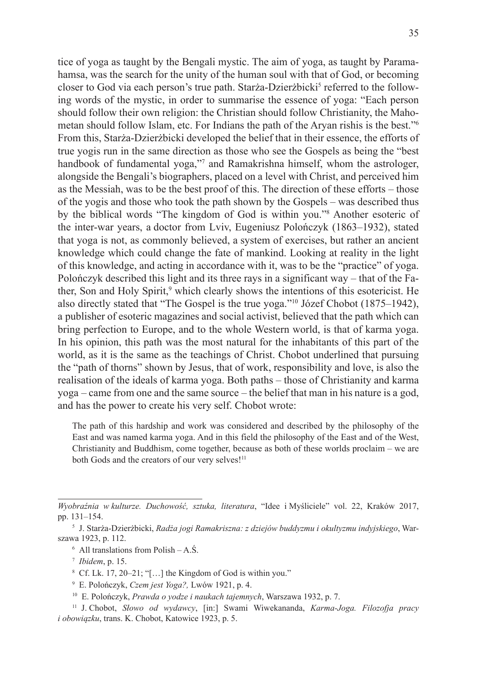tice of yoga as taught by the Bengali mystic. The aim of yoga, as taught by Paramahamsa, was the search for the unity of the human soul with that of God, or becoming closer to God via each person's true path. Starża-Dzierżbicki<sup>s</sup> referred to the following words of the mystic, in order to summarise the essence of yoga: "Each person should follow their own religion: the Christian should follow Christianity, the Mahometan should follow Islam, etc. For Indians the path of the Aryan rishis is the best."<sup>6</sup> From this, Starża-Dzierżbicki developed the belief that in their essence, the efforts of true yogis run in the same direction as those who see the Gospels as being the "best handbook of fundamental yoga,"<sup>7</sup> and Ramakrishna himself, whom the astrologer, alongside the Bengali's biographers, placed on a level with Christ, and perceived him as the Messiah, was to be the best proof of this. The direction of these efforts – those of the yogis and those who took the path shown by the Gospels – was described thus by the biblical words "The kingdom of God is within you."<sup>8</sup> Another esoteric of the inter-war years, a doctor from Lviv, Eugeniusz Polończyk (1863–1932), stated that yoga is not, as commonly believed, a system of exercises, but rather an ancient knowledge which could change the fate of mankind. Looking at reality in the light of this knowledge, and acting in accordance with it, was to be the "practice" of yoga. Polończyk described this light and its three rays in a significant way – that of the Father, Son and Holy Spirit,<sup>9</sup> which clearly shows the intentions of this esotericist. He also directly stated that "The Gospel is the true yoga."<sup>10</sup> Józef Chobot (1875–1942), a publisher of esoteric magazines and social activist, believed that the path which can bring perfection to Europe, and to the whole Western world, is that of karma yoga. In his opinion, this path was the most natural for the inhabitants of this part of the world, as it is the same as the teachings of Christ. Chobot underlined that pursuing the "path of thorns" shown by Jesus, that of work, responsibility and love, is also the realisation of the ideals of karma yoga. Both paths – those of Christianity and karma yoga – came from one and the same source – the belief that man in his nature is a god, and has the power to create his very self. Chobot wrote:

The path of this hardship and work was considered and described by the philosophy of the East and was named karma yoga. And in this field the philosophy of the East and of the West, Christianity and Buddhism, come together, because as both of these worlds proclaim – we are both Gods and the creators of our very selves!<sup>11</sup>

*Wyobraźnia w kulturze. Duchowość, sztuka, literatura*, "Idee i Myśliciele" vol. 22, Kraków 2017, pp. 131–154.

<sup>5</sup> J. Starża-Dzierżbicki, *Radża jogi Ramakriszna: z dziejów buddyzmu i okultyzmu indyjskiego*, Warszawa 1923, p. 112.

<sup>6</sup> All translations from Polish – A.Ś.

<sup>7</sup> *Ibidem*, p. 15.

<sup>8</sup> Cf. Lk. 17, 20–21; "[…] the Kingdom of God is within you."

<sup>9</sup> E. Polończyk, *Czem jest Yoga?,* Lwów 1921, p. 4.

<sup>10</sup> E. Polończyk, *Prawda o yodze i naukach tajemnych*, Warszawa 1932, p. 7.

<sup>11</sup> J. Chobot, *Słowo od wydawcy*, [in:] Swami Wiwekananda, *Karma-Joga. Filozofja pracy i obowiązku*, trans. K. Chobot, Katowice 1923, p. 5.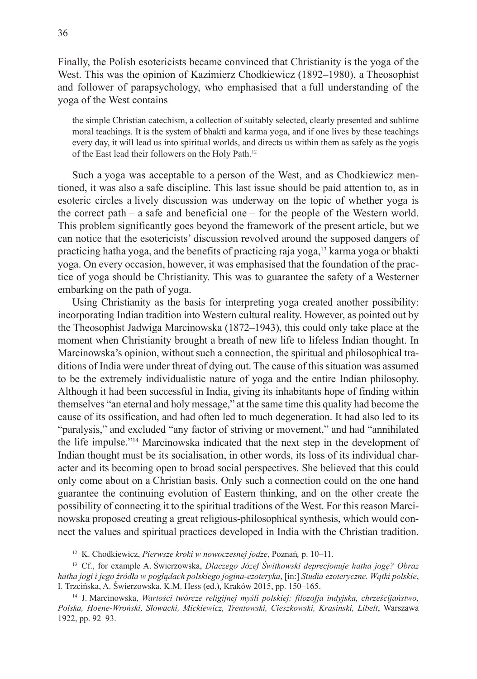Finally, the Polish esotericists became convinced that Christianity is the yoga of the West. This was the opinion of Kazimierz Chodkiewicz (1892–1980), a Theosophist and follower of parapsychology, who emphasised that a full understanding of the yoga of the West contains

the simple Christian catechism, a collection of suitably selected, clearly presented and sublime moral teachings. It is the system of bhakti and karma yoga, and if one lives by these teachings every day, it will lead us into spiritual worlds, and directs us within them as safely as the yogis of the East lead their followers on the Holy Path.<sup>12</sup>

Such a yoga was acceptable to a person of the West, and as Chodkiewicz mentioned, it was also a safe discipline. This last issue should be paid attention to, as in esoteric circles a lively discussion was underway on the topic of whether yoga is the correct path – a safe and beneficial one – for the people of the Western world. This problem significantly goes beyond the framework of the present article, but we can notice that the esotericists' discussion revolved around the supposed dangers of practicing hatha yoga, and the benefits of practicing raja yoga, $^{13}$  karma yoga or bhakti yoga. On every occasion, however, it was emphasised that the foundation of the practice of yoga should be Christianity. This was to guarantee the safety of a Westerner embarking on the path of yoga.

Using Christianity as the basis for interpreting yoga created another possibility: incorporating Indian tradition into Western cultural reality. However, as pointed out by the Theosophist Jadwiga Marcinowska (1872–1943), this could only take place at the moment when Christianity brought a breath of new life to lifeless Indian thought. In Marcinowska's opinion, without such a connection, the spiritual and philosophical traditions of India were under threat of dying out. The cause of this situation was assumed to be the extremely individualistic nature of yoga and the entire Indian philosophy. Although it had been successful in India, giving its inhabitants hope of finding within themselves "an eternal and holy message," at the same time this quality had become the cause of its ossification, and had often led to much degeneration. It had also led to its "paralysis," and excluded "any factor of striving or movement," and had "annihilated the life impulse."<sup>14</sup> Marcinowska indicated that the next step in the development of Indian thought must be its socialisation, in other words, its loss of its individual character and its becoming open to broad social perspectives. She believed that this could only come about on a Christian basis. Only such a connection could on the one hand guarantee the continuing evolution of Eastern thinking, and on the other create the possibility of connecting it to the spiritual traditions of the West. For this reason Marcinowska proposed creating a great religious-philosophical synthesis, which would connect the values and spiritual practices developed in India with the Christian tradition.

<sup>12</sup> K. Chodkiewicz, *Pierwsze kroki w nowoczesnej jodze*, Poznań*,* p. 10–11.

<sup>13</sup> Cf., for example A. Świerzowska, *Dlaczego Józef Świtkowski deprecjonuje hatha jogę? Obraz hatha jogi i jego źródła w poglądach polskiego jogina-ezoteryka*, [in:] *Studia ezoteryczne. Wątki polskie*, I. Trzcińska, A. Świerzowska, K.M. Hess (ed.), Kraków 2015, pp. 150–165.

<sup>14</sup> J. Marcinowska, *Wartości twórcze religijnej myśli polskiej: filozofja indyjska, chrześcijaństwo, Polska, Hoene-Wroński, Słowacki, Mickiewicz, Trentowski, Cieszkowski, Krasiński, Libelt*, Warszawa 1922, pp. 92–93.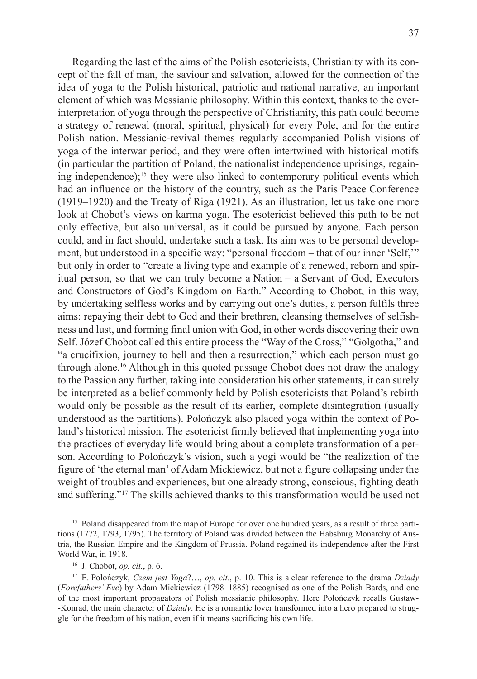Regarding the last of the aims of the Polish esotericists, Christianity with its concept of the fall of man, the saviour and salvation, allowed for the connection of the idea of yoga to the Polish historical, patriotic and national narrative, an important element of which was Messianic philosophy. Within this context, thanks to the overinterpretation of yoga through the perspective of Christianity, this path could become a strategy of renewal (moral, spiritual, physical) for every Pole, and for the entire Polish nation. Messianic-revival themes regularly accompanied Polish visions of yoga of the interwar period, and they were often intertwined with historical motifs (in particular the partition of Poland, the nationalist independence uprisings, regaining independence);<sup>15</sup> they were also linked to contemporary political events which had an influence on the history of the country, such as the Paris Peace Conference (1919–1920) and the Treaty of Riga (1921). As an illustration, let us take one more look at Chobot's views on karma yoga. The esotericist believed this path to be not only effective, but also universal, as it could be pursued by anyone. Each person could, and in fact should, undertake such a task. Its aim was to be personal development, but understood in a specific way: "personal freedom – that of our inner 'Self,'" but only in order to "create a living type and example of a renewed, reborn and spiritual person, so that we can truly become a Nation – a Servant of God, Executors and Constructors of God's Kingdom on Earth." According to Chobot, in this way, by undertaking selfless works and by carrying out one's duties, a person fulfils three aims: repaying their debt to God and their brethren, cleansing themselves of selfishness and lust, and forming final union with God, in other words discovering their own Self. Józef Chobot called this entire process the "Way of the Cross," "Golgotha," and "a crucifixion, journey to hell and then a resurrection," which each person must go through alone.16 Although in this quoted passage Chobot does not draw the analogy to the Passion any further, taking into consideration his other statements, it can surely be interpreted as a belief commonly held by Polish esotericists that Poland's rebirth would only be possible as the result of its earlier, complete disintegration (usually understood as the partitions). Polończyk also placed yoga within the context of Poland's historical mission. The esotericist firmly believed that implementing yoga into the practices of everyday life would bring about a complete transformation of a person. According to Polończyk's vision, such a yogi would be "the realization of the figure of 'the eternal man' of Adam Mickiewicz, but not a figure collapsing under the weight of troubles and experiences, but one already strong, conscious, fighting death and suffering."<sup>17</sup> The skills achieved thanks to this transformation would be used not

<sup>&</sup>lt;sup>15</sup> Poland disappeared from the map of Europe for over one hundred years, as a result of three partitions (1772, 1793, 1795). The territory of Poland was divided between the Habsburg Monarchy of Austria, the Russian Empire and the Kingdom of Prussia. Poland regained its independence after the First World War, in 1918.

<sup>16</sup> J. Chobot, *op. cit.*, p. 6.

<sup>17</sup> E. Polończyk, *Czem jest Yoga*?…, *op. cit.*, p. 10. This is a clear reference to the drama *Dziady* (*Forefathers' Eve*) by Adam Mickiewicz (1798–1885) recognised as one of the Polish Bards, and one of the most important propagators of Polish messianic philosophy. Here Polończyk recalls Gustaw- -Konrad, the main character of *Dziady*. He is a romantic lover transformed into a hero prepared to struggle for the freedom of his nation, even if it means sacrificing his own life.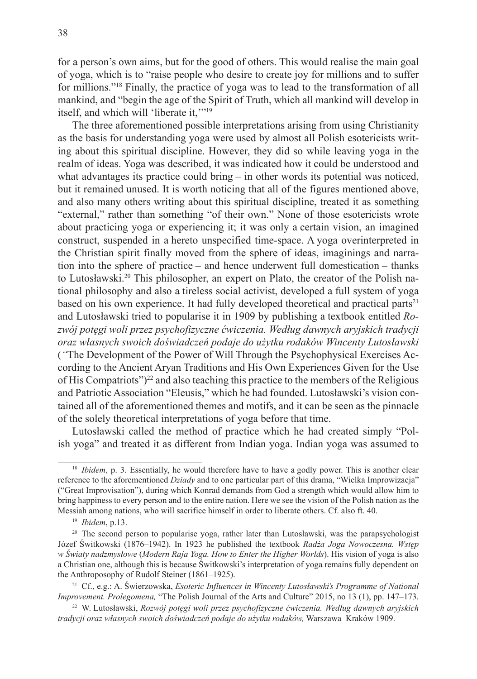for a person's own aims, but for the good of others. This would realise the main goal of yoga, which is to "raise people who desire to create joy for millions and to suffer for millions."18 Finally, the practice of yoga was to lead to the transformation of all mankind, and "begin the age of the Spirit of Truth, which all mankind will develop in itself, and which will 'liberate it.'"<sup>19</sup>

The three aforementioned possible interpretations arising from using Christianity as the basis for understanding yoga were used by almost all Polish esotericists writing about this spiritual discipline. However, they did so while leaving yoga in the realm of ideas. Yoga was described, it was indicated how it could be understood and what advantages its practice could bring – in other words its potential was noticed, but it remained unused. It is worth noticing that all of the figures mentioned above, and also many others writing about this spiritual discipline, treated it as something "external," rather than something "of their own." None of those esotericists wrote about practicing yoga or experiencing it; it was only a certain vision, an imagined construct, suspended in a hereto unspecified time-space. A yoga overinterpreted in the Christian spirit finally moved from the sphere of ideas, imaginings and narration into the sphere of practice – and hence underwent full domestication – thanks to Lutosławski.20 This philosopher, an expert on Plato, the creator of the Polish national philosophy and also a tireless social activist, developed a full system of yoga based on his own experience. It had fully developed theoretical and practical parts $21$ and Lutosławski tried to popularise it in 1909 by publishing a textbook entitled *Rozwój potęgi woli przez psychofizyczne ćwiczenia. Według dawnych aryjskich tradycji oraz własnych swoich doświadczeń podaje do użytku rodaków Wincenty Lutosławski*  (*"*The Development of the Power of Will Through the Psychophysical Exercises According to the Ancient Aryan Traditions and His Own Experiences Given for the Use of His Compatriots")<sup>22</sup> and also teaching this practice to the members of the Religious and Patriotic Association "Eleusis," which he had founded. Lutosławski's vision contained all of the aforementioned themes and motifs, and it can be seen as the pinnacle of the solely theoretical interpretations of yoga before that time.

Lutosławski called the method of practice which he had created simply "Polish yoga" and treated it as different from Indian yoga. Indian yoga was assumed to

<sup>&</sup>lt;sup>18</sup> *Ibidem*, p. 3. Essentially, he would therefore have to have a godly power. This is another clear reference to the aforementioned *Dziady* and to one particular part of this drama, "Wielka Improwizacja" ("Great Improvisation"), during which Konrad demands from God a strength which would allow him to bring happiness to every person and to the entire nation. Here we see the vision of the Polish nation as the Messiah among nations, who will sacrifice himself in order to liberate others. Cf. also ft. 40.

<sup>19</sup> *Ibidem*, p.13.

<sup>&</sup>lt;sup>20</sup> The second person to popularise yoga, rather later than Lutosławski, was the parapsychologist Józef Świtkowski (1876–1942). In 1923 he published the textbook *Radźa Joga Nowoczesna. Wstęp w Światy nadzmysłowe* (*Modern Raja Yoga. How to Enter the Higher Worlds*). His vision of yoga is also a Christian one, although this is because Świtkowski's interpretation of yoga remains fully dependent on the Anthroposophy of Rudolf Steiner (1861–1925).

<sup>21</sup> Cf., e.g.: A. Świerzowska, *Esoteric Influences in Wincenty Lutosławski's Programme of National Improvement. Prolegomena,* "The Polish Journal of the Arts and Culture" 2015, no 13 (1), pp. 147–173.

<sup>22</sup> W. Lutosławski, *Rozwój potęgi woli przez psychofizyczne ćwiczenia. Według dawnych aryjskich tradycji oraz własnych swoich doświadczeń podaje do użytku rodaków,* Warszawa–Kraków 1909.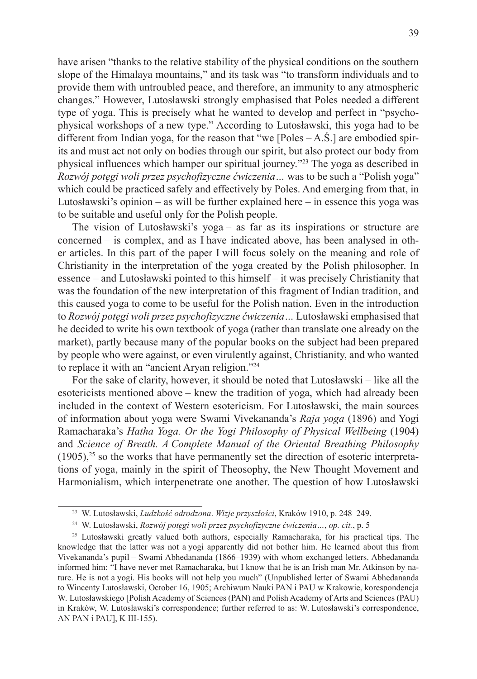have arisen "thanks to the relative stability of the physical conditions on the southern slope of the Himalaya mountains," and its task was "to transform individuals and to provide them with untroubled peace, and therefore, an immunity to any atmospheric changes." However, Lutosławski strongly emphasised that Poles needed a different type of yoga. This is precisely what he wanted to develop and perfect in "psychophysical workshops of a new type." According to Lutosławski, this yoga had to be different from Indian yoga, for the reason that "we [Poles  $-A.\dot{S}$ .] are embodied spirits and must act not only on bodies through our spirit, but also protect our body from physical influences which hamper our spiritual journey."23 The yoga as described in *Rozwój potęgi woli przez psychofizyczne ćwiczenia…* was to be such a "Polish yoga" which could be practiced safely and effectively by Poles. And emerging from that, in Lutosławski's opinion – as will be further explained here – in essence this yoga was to be suitable and useful only for the Polish people.

The vision of Lutosławski's yoga – as far as its inspirations or structure are concerned – is complex, and as I have indicated above, has been analysed in other articles. In this part of the paper I will focus solely on the meaning and role of Christianity in the interpretation of the yoga created by the Polish philosopher. In essence – and Lutosławski pointed to this himself – it was precisely Christianity that was the foundation of the new interpretation of this fragment of Indian tradition, and this caused yoga to come to be useful for the Polish nation. Even in the introduction to *Rozwój potęgi woli przez psychofizyczne ćwiczenia…* Lutosławski emphasised that he decided to write his own textbook of yoga (rather than translate one already on the market), partly because many of the popular books on the subject had been prepared by people who were against, or even virulently against, Christianity, and who wanted to replace it with an "ancient Aryan religion."<sup>24</sup>

For the sake of clarity, however, it should be noted that Lutosławski – like all the esotericists mentioned above – knew the tradition of yoga, which had already been included in the context of Western esotericism. For Lutosławski, the main sources of information about yoga were Swami Vivekananda's *Raja yoga* (1896) and Yogi Ramacharaka's *Hatha Yoga. Or the Yogi Philosophy of Physical Wellbeing* (1904) and *Science of Breath. A Complete Manual of the Oriental Breathing Philosophy*   $(1905)$ ,<sup>25</sup> so the works that have permanently set the direction of esoteric interpretations of yoga, mainly in the spirit of Theosophy, the New Thought Movement and Harmonialism, which interpenetrate one another. The question of how Lutosławski

<sup>23</sup> W. Lutosławski, *Ludzkość odrodzona*. *Wizje przyszłości*, Kraków 1910, p. 248–249.

<sup>24</sup> W. Lutosławski, *Rozwój potęgi woli przez psychofizyczne ćwiczenia…*, *op. cit.*, p. 5

<sup>25</sup> Lutosławski greatly valued both authors, especially Ramacharaka, for his practical tips. The knowledge that the latter was not a yogi apparently did not bother him. He learned about this from Vivekananda's pupil – Swami Abhedananda (1866–1939) with whom exchanged letters. Abhedananda informed him: "I have never met Ramacharaka, but I know that he is an Irish man Mr. Atkinson by nature. He is not a yogi. His books will not help you much" (Unpublished letter of Swami Abhedananda to Wincenty Lutosławski, October 16, 1905; Archiwum Nauki PAN i PAU w Krakowie, korespondencja W. Lutosławskiego [Polish Academy of Sciences (PAN) and Polish Academy of Arts and Sciences (PAU) in Kraków, W. Lutosławski's correspondence; further referred to as: W. Lutosławski's correspondence, AN PAN i PAU], K III-155).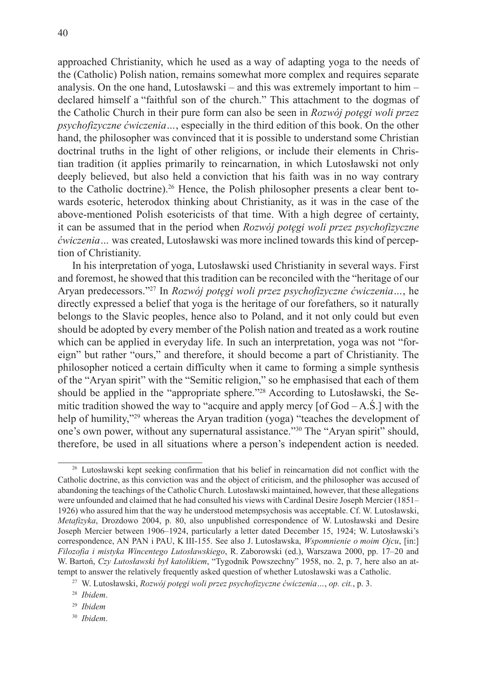approached Christianity, which he used as a way of adapting yoga to the needs of the (Catholic) Polish nation, remains somewhat more complex and requires separate analysis. On the one hand, Lutosławski – and this was extremely important to him – declared himself a "faithful son of the church." This attachment to the dogmas of the Catholic Church in their pure form can also be seen in *Rozwój potęgi woli przez psychofizyczne ćwiczenia…*, especially in the third edition of this book. On the other hand, the philosopher was convinced that it is possible to understand some Christian doctrinal truths in the light of other religions, or include their elements in Christian tradition (it applies primarily to reincarnation, in which Lutosławski not only deeply believed, but also held a conviction that his faith was in no way contrary to the Catholic doctrine).26 Hence, the Polish philosopher presents a clear bent towards esoteric, heterodox thinking about Christianity, as it was in the case of the above-mentioned Polish esotericists of that time. With a high degree of certainty, it can be assumed that in the period when *Rozwój potęgi woli przez psychofizyczne ćwiczenia…* was created, Lutosławski was more inclined towards this kind of percep-

tion of Christianity. In his interpretation of yoga, Lutosławski used Christianity in several ways. First and foremost, he showed that this tradition can be reconciled with the "heritage of our Aryan predecessors."27 In *Rozwój potęgi woli przez psychofizyczne ćwiczenia…*, he directly expressed a belief that yoga is the heritage of our forefathers, so it naturally belongs to the Slavic peoples, hence also to Poland, and it not only could but even should be adopted by every member of the Polish nation and treated as a work routine which can be applied in everyday life. In such an interpretation, yoga was not "foreign" but rather "ours," and therefore, it should become a part of Christianity. The philosopher noticed a certain difficulty when it came to forming a simple synthesis of the "Aryan spirit" with the "Semitic religion," so he emphasised that each of them should be applied in the "appropriate sphere."28 According to Lutosławski, the Semitic tradition showed the way to "acquire and apply mercy  $[of God – A.S.]$  with the help of humility,"<sup>29</sup> whereas the Aryan tradition (yoga) "teaches the development of one's own power, without any supernatural assistance."<sup>30</sup> The "Aryan spirit" should, therefore, be used in all situations where a person's independent action is needed.

<sup>30</sup> *Ibidem*.

<sup>26</sup> Lutosławski kept seeking confirmation that his belief in reincarnation did not conflict with the Catholic doctrine, as this conviction was and the object of criticism, and the philosopher was accused of abandoning the teachings of the Catholic Church. Lutosławski maintained, however, that these allegations were unfounded and claimed that he had consulted his views with Cardinal Desire Joseph Mercier (1851– 1926) who assured him that the way he understood metempsychosis was acceptable. Cf. W. Lutosławski, *Metafizyka*, Drozdowo 2004, p. 80, also unpublished correspondence of W. Lutosławski and Desire Joseph Mercier between 1906–1924, particularly a letter dated December 15, 1924; W. Lutosławski's correspondence, AN PAN i PAU, K III-155. See also J. Lutosławska, *Wspomnienie o moim Ojcu*, [in:] *Filozofia i mistyka Wincentego Lutosławskiego*, R. Zaborowski (ed.), Warszawa 2000, pp. 17–20 and W. Bartoń, *Czy Lutosławski był katolikiem*, "Tygodnik Powszechny" 1958, no. 2, p. 7, here also an attempt to answer the relatively frequently asked question of whether Lutosławski was a Catholic.

<sup>27</sup> W. Lutosławski, *Rozwój potęgi woli przez psychofizyczne ćwiczenia…*, *op. cit.*, p. 3.

<sup>28</sup> *Ibidem*.

<sup>29</sup> *Ibidem*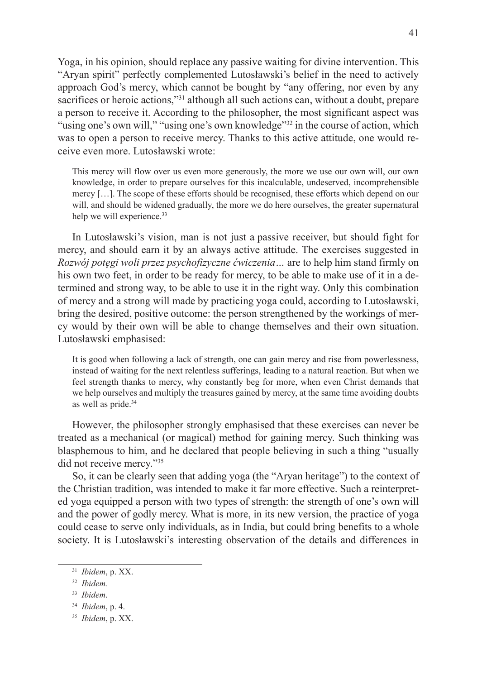Yoga, in his opinion, should replace any passive waiting for divine intervention. This "Aryan spirit" perfectly complemented Lutosławski's belief in the need to actively approach God's mercy, which cannot be bought by "any offering, nor even by any sacrifices or heroic actions,"<sup>31</sup> although all such actions can, without a doubt, prepare a person to receive it. According to the philosopher, the most significant aspect was "using one's own will," "using one's own knowledge"32 in the course of action, which was to open a person to receive mercy. Thanks to this active attitude, one would receive even more. Lutosławski wrote:

This mercy will flow over us even more generously, the more we use our own will, our own knowledge, in order to prepare ourselves for this incalculable, undeserved, incomprehensible mercy […]. The scope of these efforts should be recognised, these efforts which depend on our will, and should be widened gradually, the more we do here ourselves, the greater supernatural help we will experience.<sup>33</sup>

In Lutosławski's vision, man is not just a passive receiver, but should fight for mercy, and should earn it by an always active attitude. The exercises suggested in *Rozwój potęgi woli przez psychofizyczne ćwiczenia…* are to help him stand firmly on his own two feet, in order to be ready for mercy, to be able to make use of it in a determined and strong way, to be able to use it in the right way. Only this combination of mercy and a strong will made by practicing yoga could, according to Lutosławski, bring the desired, positive outcome: the person strengthened by the workings of mercy would by their own will be able to change themselves and their own situation. Lutosławski emphasised:

It is good when following a lack of strength, one can gain mercy and rise from powerlessness, instead of waiting for the next relentless sufferings, leading to a natural reaction. But when we feel strength thanks to mercy, why constantly beg for more, when even Christ demands that we help ourselves and multiply the treasures gained by mercy, at the same time avoiding doubts as well as pride.<sup>34</sup>

However, the philosopher strongly emphasised that these exercises can never be treated as a mechanical (or magical) method for gaining mercy. Such thinking was blasphemous to him, and he declared that people believing in such a thing "usually did not receive mercy."<sup>35</sup>

So, it can be clearly seen that adding yoga (the "Aryan heritage") to the context of the Christian tradition, was intended to make it far more effective. Such a reinterpreted yoga equipped a person with two types of strength: the strength of one's own will and the power of godly mercy. What is more, in its new version, the practice of yoga could cease to serve only individuals, as in India, but could bring benefits to a whole society. It is Lutosławski's interesting observation of the details and differences in

<sup>31</sup> *Ibidem*, p. XX.

<sup>32</sup> *Ibidem.*

<sup>33</sup> *Ibidem*.

<sup>34</sup> *Ibidem*, p. 4.

<sup>35</sup> *Ibidem*, p. XX.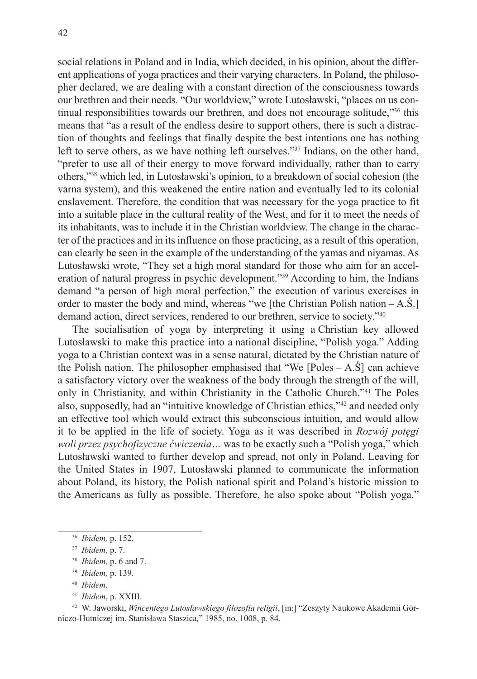social relations in Poland and in India, which decided, in his opinion, about the different applications of yoga practices and their varying characters. In Poland, the philosopher declared, we are dealing with a constant direction of the consciousness towards our brethren and their needs. "Our worldview," wrote Lutosławski, "places on us continual responsibilities towards our brethren, and does not encourage solitude,"36 this means that "as a result of the endless desire to support others, there is such a distraction of thoughts and feelings that finally despite the best intentions one has nothing left to serve others, as we have nothing left ourselves."37 Indians, on the other hand, "prefer to use all of their energy to move forward individually, rather than to carry others,"<sup>38</sup> which led, in Lutosławski's opinion, to a breakdown of social cohesion (the varna system), and this weakened the entire nation and eventually led to its colonial enslavement. Therefore, the condition that was necessary for the yoga practice to fit into a suitable place in the cultural reality of the West, and for it to meet the needs of its inhabitants, was to include it in the Christian worldview. The change in the character of the practices and in its influence on those practicing, as a result of this operation, can clearly be seen in the example of the understanding of the yamas and niyamas. As Lutosławski wrote, "They set a high moral standard for those who aim for an acceleration of natural progress in psychic development."39 According to him, the Indians demand "a person of high moral perfection," the execution of various exercises in order to master the body and mind, whereas "we [the Christian Polish nation – A.Ś.] demand action, direct services, rendered to our brethren, service to society."<sup>40</sup>

The socialisation of yoga by interpreting it using a Christian key allowed Lutosławski to make this practice into a national discipline, "Polish yoga." Adding yoga to a Christian context was in a sense natural, dictated by the Christian nature of the Polish nation. The philosopher emphasised that "We [Poles  $- A.S$ ] can achieve a satisfactory victory over the weakness of the body through the strength of the will, only in Christianity, and within Christianity in the Catholic Church."41 The Poles also, supposedly, had an "intuitive knowledge of Christian ethics,"42 and needed only an effective tool which would extract this subconscious intuition, and would allow it to be applied in the life of society. Yoga as it was described in *Rozwój potęgi woli przez psychofizyczne ćwiczenia…* was to be exactly such a "Polish yoga," which Lutosławski wanted to further develop and spread, not only in Poland. Leaving for the United States in 1907, Lutosławski planned to communicate the information about Poland, its history, the Polish national spirit and Poland's historic mission to the Americans as fully as possible. Therefore, he also spoke about "Polish yoga."

<sup>42</sup> W. Jaworski, *Wincentego Lutosławskiego filozofia religii*, [in:] "Zeszyty Naukowe Akademii Górniczo-Hutniczej im. Stanisława Staszica*,*" 1985, no. 1008, p. 84.

<sup>36</sup> *Ibidem,* p. 152.

<sup>37</sup> *Ibidem,* p. 7.

<sup>38</sup> *Ibidem,* p. 6 and 7.

<sup>39</sup> *Ibidem,* p. 139.

<sup>40</sup> *Ibidem*.

<sup>41</sup> *Ibidem*, p. XXIII.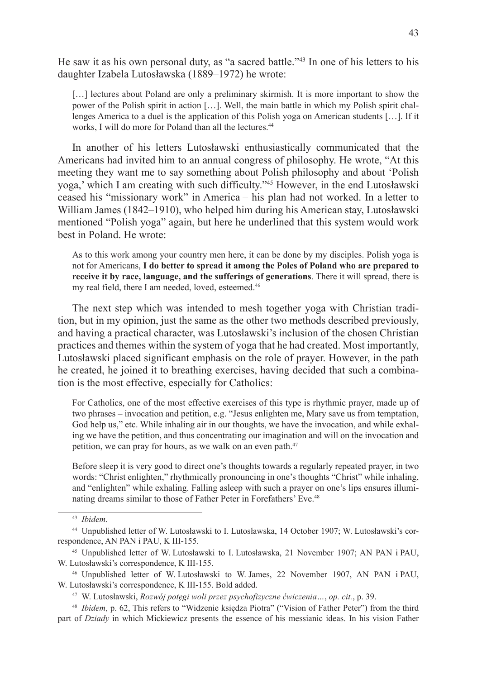He saw it as his own personal duty, as "a sacred battle."43 In one of his letters to his daughter Izabela Lutosławska (1889–1972) he wrote:

[...] lectures about Poland are only a preliminary skirmish. It is more important to show the power of the Polish spirit in action […]. Well, the main battle in which my Polish spirit challenges America to a duel is the application of this Polish yoga on American students […]. If it works, I will do more for Poland than all the lectures.<sup>44</sup>

In another of his letters Lutosławski enthusiastically communicated that the Americans had invited him to an annual congress of philosophy. He wrote, "At this meeting they want me to say something about Polish philosophy and about 'Polish yoga,' which I am creating with such difficulty."<sup>45</sup> However, in the end Lutosławski ceased his "missionary work" in America – his plan had not worked. In a letter to William James (1842–1910), who helped him during his American stay, Lutosławski mentioned "Polish yoga" again, but here he underlined that this system would work best in Poland. He wrote:

As to this work among your country men here, it can be done by my disciples. Polish yoga is not for Americans, **I do better to spread it among the Poles of Poland who are prepared to receive it by race, language, and the sufferings of generations**. There it will spread, there is my real field, there I am needed, loved, esteemed.<sup>46</sup>

The next step which was intended to mesh together yoga with Christian tradition, but in my opinion, just the same as the other two methods described previously, and having a practical character, was Lutosławski's inclusion of the chosen Christian practices and themes within the system of yoga that he had created. Most importantly, Lutosławski placed significant emphasis on the role of prayer. However, in the path he created, he joined it to breathing exercises, having decided that such a combination is the most effective, especially for Catholics:

For Catholics, one of the most effective exercises of this type is rhythmic prayer, made up of two phrases – invocation and petition, e.g. "Jesus enlighten me, Mary save us from temptation, God help us," etc. While inhaling air in our thoughts, we have the invocation, and while exhaling we have the petition, and thus concentrating our imagination and will on the invocation and petition, we can pray for hours, as we walk on an even path.<sup>47</sup>

Before sleep it is very good to direct one's thoughts towards a regularly repeated prayer, in two words: "Christ enlighten," rhythmically pronouncing in one's thoughts "Christ" while inhaling, and "enlighten" while exhaling. Falling asleep with such a prayer on one's lips ensures illuminating dreams similar to those of Father Peter in Forefathers' Eve.<sup>48</sup>

<sup>43</sup> *Ibidem*.

<sup>44</sup> Unpublished letter of W. Lutosławski to I. Lutosławska, 14 October 1907; W. Lutosławski's correspondence, AN PAN i PAU, K III-155.

<sup>45</sup> Unpublished letter of W. Lutosławski to I. Lutosławska, 21 November 1907; AN PAN i PAU, W. Lutosławski's correspondence, K III-155.

<sup>46</sup> Unpublished letter of W. Lutosławski to W. James, 22 November 1907, AN PAN i PAU, W. Lutosławski's correspondence, K III-155. Bold added.

<sup>47</sup> W. Lutosławski, *Rozwój potęgi woli przez psychofizyczne ćwiczenia…*, *op. cit.*, p. 39.

<sup>48</sup> *Ibidem*, p. 62, This refers to "Widzenie księdza Piotra" ("Vision of Father Peter") from the third part of *Dziady* in which Mickiewicz presents the essence of his messianic ideas. In his vision Father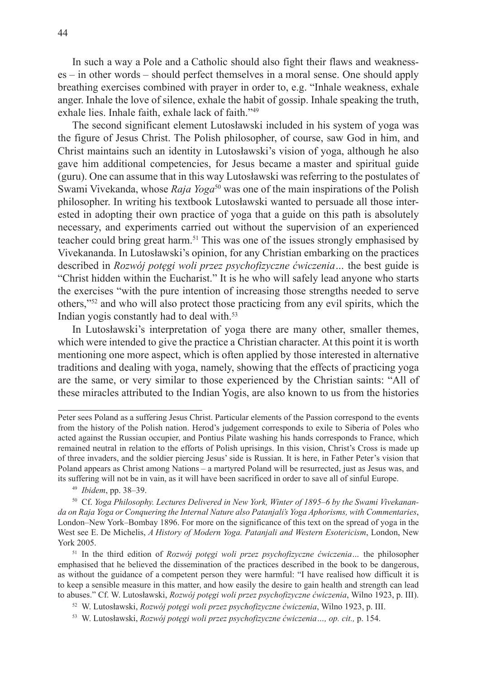In such a way a Pole and a Catholic should also fight their flaws and weaknesses – in other words – should perfect themselves in a moral sense. One should apply breathing exercises combined with prayer in order to, e.g. "Inhale weakness, exhale anger. Inhale the love of silence, exhale the habit of gossip. Inhale speaking the truth, exhale lies. Inhale faith, exhale lack of faith."49

The second significant element Lutosławski included in his system of yoga was the figure of Jesus Christ. The Polish philosopher, of course, saw God in him, and Christ maintains such an identity in Lutosławski's vision of yoga, although he also gave him additional competencies, for Jesus became a master and spiritual guide (guru). One can assume that in this way Lutosławski was referring to the postulates of Swami Vivekanda, whose *Raja Yoga*50 was one of the main inspirations of the Polish philosopher. In writing his textbook Lutosławski wanted to persuade all those interested in adopting their own practice of yoga that a guide on this path is absolutely necessary, and experiments carried out without the supervision of an experienced teacher could bring great harm.<sup>51</sup> This was one of the issues strongly emphasised by Vivekananda. In Lutosławski's opinion, for any Christian embarking on the practices described in *Rozwój potęgi woli przez psychofizyczne ćwiczenia…* the best guide is "Christ hidden within the Eucharist." It is he who will safely lead anyone who starts the exercises "with the pure intention of increasing those strengths needed to serve others,"52 and who will also protect those practicing from any evil spirits, which the Indian yogis constantly had to deal with.<sup>53</sup>

In Lutosławski's interpretation of yoga there are many other, smaller themes, which were intended to give the practice a Christian character. At this point it is worth mentioning one more aspect, which is often applied by those interested in alternative traditions and dealing with yoga, namely, showing that the effects of practicing yoga are the same, or very similar to those experienced by the Christian saints: "All of these miracles attributed to the Indian Yogis, are also known to us from the histories

<sup>49</sup> *Ibidem*, pp. 38–39.

50 Cf. *Yoga Philosophy. Lectures Delivered in New York, Winter of 1895–6 by the Swami Vivekananda on Raja Yoga or Conquering the Internal Nature also Patanjali's Yoga Aphorisms, with Commentaries*, London–New York–Bombay 1896. For more on the significance of this text on the spread of yoga in the West see E. De Michelis, *A History of Modern Yoga. Patanjali and Western Esotericism*, London, New York 2005.

<sup>51</sup> In the third edition of *Rozwój potęgi woli przez psychofizyczne ćwiczenia…* the philosopher emphasised that he believed the dissemination of the practices described in the book to be dangerous, as without the guidance of a competent person they were harmful: "I have realised how difficult it is to keep a sensible measure in this matter, and how easily the desire to gain health and strength can lead to abuses." Cf. W. Lutosławski, *Rozwój potęgi woli przez psychofizyczne ćwiczenia*, Wilno 1923, p. III).

<sup>52</sup> W. Lutosławski, *Rozwój potęgi woli przez psychofizyczne ćwiczenia*, Wilno 1923, p. III.

<sup>53</sup> W. Lutosławski, *Rozwój potęgi woli przez psychofizyczne ćwiczenia…, op. cit.,* p. 154.

Peter sees Poland as a suffering Jesus Christ. Particular elements of the Passion correspond to the events from the history of the Polish nation. Herod's judgement corresponds to exile to Siberia of Poles who acted against the Russian occupier, and Pontius Pilate washing his hands corresponds to France, which remained neutral in relation to the efforts of Polish uprisings. In this vision, Christ's Cross is made up of three invaders, and the soldier piercing Jesus' side is Russian. It is here, in Father Peter's vision that Poland appears as Christ among Nations – a martyred Poland will be resurrected, just as Jesus was, and its suffering will not be in vain, as it will have been sacrificed in order to save all of sinful Europe.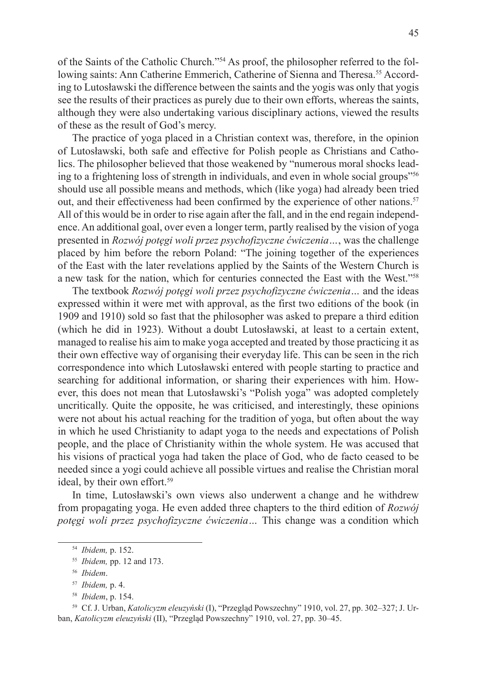of the Saints of the Catholic Church."54 As proof, the philosopher referred to the following saints: Ann Catherine Emmerich, Catherine of Sienna and Theresa.<sup>55</sup> According to Lutosławski the difference between the saints and the yogis was only that yogis see the results of their practices as purely due to their own efforts, whereas the saints, although they were also undertaking various disciplinary actions, viewed the results of these as the result of God's mercy.

The practice of yoga placed in a Christian context was, therefore, in the opinion of Lutosławski, both safe and effective for Polish people as Christians and Catholics. The philosopher believed that those weakened by "numerous moral shocks leading to a frightening loss of strength in individuals, and even in whole social groups"<sup>56</sup> should use all possible means and methods, which (like yoga) had already been tried out, and their effectiveness had been confirmed by the experience of other nations.<sup>57</sup> All of this would be in order to rise again after the fall, and in the end regain independence. An additional goal, over even a longer term, partly realised by the vision of yoga presented in *Rozwój potęgi woli przez psychofizyczne ćwiczenia…*, was the challenge placed by him before the reborn Poland: "The joining together of the experiences of the East with the later revelations applied by the Saints of the Western Church is a new task for the nation, which for centuries connected the East with the West."<sup>58</sup>

The textbook *Rozwój potęgi woli przez psychofizyczne ćwiczenia…* and the ideas expressed within it were met with approval, as the first two editions of the book (in 1909 and 1910) sold so fast that the philosopher was asked to prepare a third edition (which he did in 1923). Without a doubt Lutosławski, at least to a certain extent, managed to realise his aim to make yoga accepted and treated by those practicing it as their own effective way of organising their everyday life. This can be seen in the rich correspondence into which Lutosławski entered with people starting to practice and searching for additional information, or sharing their experiences with him. However, this does not mean that Lutosławski's "Polish yoga" was adopted completely uncritically. Quite the opposite, he was criticised, and interestingly, these opinions were not about his actual reaching for the tradition of yoga, but often about the way in which he used Christianity to adapt yoga to the needs and expectations of Polish people, and the place of Christianity within the whole system. He was accused that his visions of practical yoga had taken the place of God, who de facto ceased to be needed since a yogi could achieve all possible virtues and realise the Christian moral ideal, by their own effort.<sup>59</sup>

In time, Lutosławski's own views also underwent a change and he withdrew from propagating yoga. He even added three chapters to the third edition of *Rozwój potęgi woli przez psychofizyczne ćwiczenia…* This change was a condition which

<sup>54</sup> *Ibidem,* p. 152.

<sup>55</sup> *Ibidem,* pp. 12 and 173.

<sup>56</sup> *Ibidem*.

<sup>57</sup> *Ibidem,* p. 4.

<sup>58</sup> *Ibidem*, p. 154.

<sup>59</sup> Cf. J. Urban, *Katolicyzm eleuzyński* (I), "Przegląd Powszechny" 1910, vol. 27, pp. 302–327; J. Urban, *Katolicyzm eleuzyński* (II), "Przegląd Powszechny" 1910, vol. 27, pp. 30–45.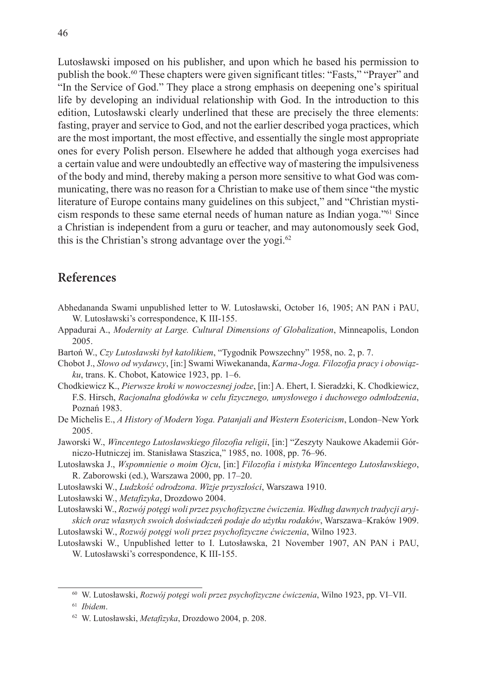Lutosławski imposed on his publisher, and upon which he based his permission to publish the book.<sup>60</sup> These chapters were given significant titles: "Fasts," "Prayer" and "In the Service of God." They place a strong emphasis on deepening one's spiritual life by developing an individual relationship with God. In the introduction to this edition, Lutosławski clearly underlined that these are precisely the three elements: fasting, prayer and service to God, and not the earlier described yoga practices, which are the most important, the most effective, and essentially the single most appropriate ones for every Polish person. Elsewhere he added that although yoga exercises had a certain value and were undoubtedly an effective way of mastering the impulsiveness of the body and mind, thereby making a person more sensitive to what God was communicating, there was no reason for a Christian to make use of them since "the mystic literature of Europe contains many guidelines on this subject," and "Christian mysticism responds to these same eternal needs of human nature as Indian yoga."61 Since a Christian is independent from a guru or teacher, and may autonomously seek God, this is the Christian's strong advantage over the yogi.<sup>62</sup>

## **References**

- Abhedananda Swami unpublished letter to W. Lutosławski, October 16, 1905; AN PAN i PAU, W. Lutosławski's correspondence, K III-155.
- Appadurai A., *Modernity at Large. Cultural Dimensions of Globalization*, Minneapolis, London 2005.
- Bartoń W., *Czy Lutosławski był katolikiem*, "Tygodnik Powszechny" 1958, no. 2, p. 7.
- Chobot J., *Słowo od wydawcy*, [in:] Swami Wiwekananda, *Karma-Joga. Filozofja pracy i obowiązku*, trans. K. Chobot, Katowice 1923, pp. 1–6.
- Chodkiewicz K., *Pierwsze kroki w nowoczesnej jodze*, [in:] A. Ehert, I. Sieradzki, K. Chodkiewicz, F.S. Hirsch, *Racjonalna głodówka w celu fizycznego, umysłowego i duchowego odmłodzenia*, Poznań 1983.
- De Michelis E., *A History of Modern Yoga. Patanjali and Western Esotericism*, London–New York 2005.
- Jaworski W., *Wincentego Lutosławskiego filozofia religii*, [in:] "Zeszyty Naukowe Akademii Górniczo-Hutniczej im. Stanisława Staszica," 1985, no. 1008, pp. 76–96.
- Lutosławska J., *Wspomnienie o moim Ojcu*, [in:] *Filozofia i mistyka Wincentego Lutosławskiego*, R. Zaborowski (ed.), Warszawa 2000, pp. 17–20.
- Lutosławski W., *Ludzkość odrodzona*. *Wizje przyszłości*, Warszawa 1910.
- Lutosławski W., *Metafizyka*, Drozdowo 2004.
- Lutosławski W., *Rozwój potęgi woli przez psychofizyczne ćwiczenia. Według dawnych tradycji aryjskich oraz własnych swoich doświadczeń podaje do użytku rodaków*, Warszawa–Kraków 1909.
- Lutosławski W., *Rozwój potęgi woli przez psychofizyczne ćwiczenia*, Wilno 1923.
- Lutosławski W., Unpublished letter to I. Lutosławska, 21 November 1907, AN PAN i PAU, W. Lutosławski's correspondence, K III-155.

<sup>60</sup> W. Lutosławski, *Rozwój potęgi woli przez psychofizyczne ćwiczenia*, Wilno 1923, pp. VI–VII.

<sup>61</sup> *Ibidem*.

<sup>62</sup> W. Lutosławski, *Metafizyka*, Drozdowo 2004, p. 208.